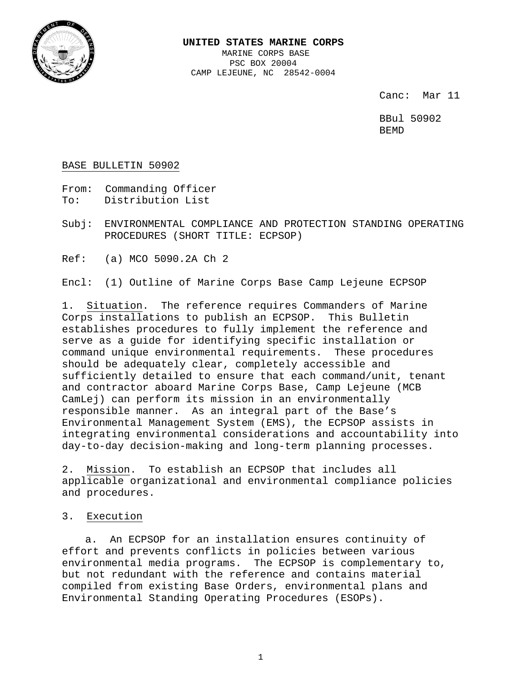

#### **UNITED STATES MARINE CORPS** MARINE CORPS BASE PSC BOX 20004

CAMP LEJEUNE, NC 28542-0004

Canc: Mar 11

BBul 50902 BEMD

BASE BULLETIN 50902

From: Commanding Officer<br>To: Distribution List Distribution List

Subj: ENVIRONMENTAL COMPLIANCE AND PROTECTION STANDING OPERATING PROCEDURES (SHORT TITLE: ECPSOP)

Ref: (a) MCO 5090.2A Ch 2

Encl: (1) Outline of Marine Corps Base Camp Lejeune ECPSOP

1. <u>Situation</u>. The reference requires Commanders of Marine<br>Corps installations to publish an ECPSOP. This Bulletin Corps installations to publish an ECPSOP. establishes procedures to fully implement the reference and serve as a guide for identifying specific installation or command unique environmental requirements. These procedures should be adequately clear, completely accessible and sufficiently detailed to ensure that each command/unit, tenant and contractor aboard Marine Corps Base, Camp Lejeune (MCB CamLej) can perform its mission in an environmentally responsible manner. As an integral part of the Base's Environmental Management System (EMS), the ECPSOP assists in integrating environmental considerations and accountability into day-to-day decision-making and long-term planning processes.

2. Mission. To establish an ECPSOP that includes all applicable organizational and environmental compliance policies and procedures.

3. Execution

a. An ECPSOP for an installation ensures continuity of effort and prevents conflicts in policies between various environmental media programs. The ECPSOP is complementary to, but not redundant with the reference and contains material compiled from existing Base Orders, environmental plans and Environmental Standing Operating Procedures (ESOPs).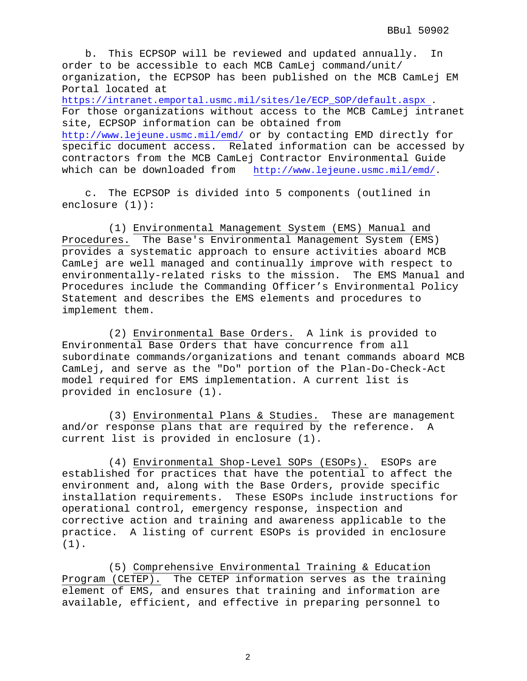b. This ECPSOP will be reviewed and updated annually. In order to be accessible to each MCB CamLej command/unit/ organization, the ECPSOP has been published on the MCB CamLej EM Portal located at [https://intranet.emportal.usmc.mil/sites/le/ECP\\_SOP/default.aspx](https://intranet.emportal.usmc.mil/sites/le/ECP_SOP/default.aspx) . For those organizations without access to the MCB CamLej intranet site, ECPSOP information can be obtained from <http://www.lejeune.usmc.mil/emd/> or by contacting EMD directly for specific document access. Related information can be accessed by contractors from the MCB CamLej Contractor Environmental Guide<br>which can be downloaded from http://www.lejeune.usmc.mil/emd/. [http://www.lejeune.usmc.mil/emd/.](http://www.lejeune.usmc.mil/emd/)

c. The ECPSOP is divided into 5 components (outlined in enclosure (1)):

(1) Environmental Management System (EMS) Manual and Procedures. The Base's Environmental Management System (EMS) provides a systematic approach to ensure activities aboard MCB CamLej are well managed and continually improve with respect to environmentally-related risks to the mission. The EMS Manual and Procedures include the Commanding Officer's Environmental Policy Statement and describes the EMS elements and procedures to implement them.

(2) Environmental Base Orders. A link is provided to Environmental Base Orders that have concurrence from all subordinate commands/organizations and tenant commands aboard MCB CamLej, and serve as the "Do" portion of the Plan-Do-Check-Act model required for EMS implementation. A current list is provided in enclosure (1).

(3) Environmental Plans & Studies. These are management and/or response plans that are required by the reference. A current list is provided in enclosure (1).

(4) Environmental Shop-Level SOPs (ESOPs). ESOPs are established for practices that have the potential to affect the environment and, along with the Base Orders, provide specific installation requirements. These ESOPs include instructions for operational control, emergency response, inspection and corrective action and training and awareness applicable to the practice. A listing of current ESOPs is provided in enclosure (1).

(5) Comprehensive Environmental Training & Education Program (CETEP). The CETEP information serves as the training element of EMS, and ensures that training and information are available, efficient, and effective in preparing personnel to

2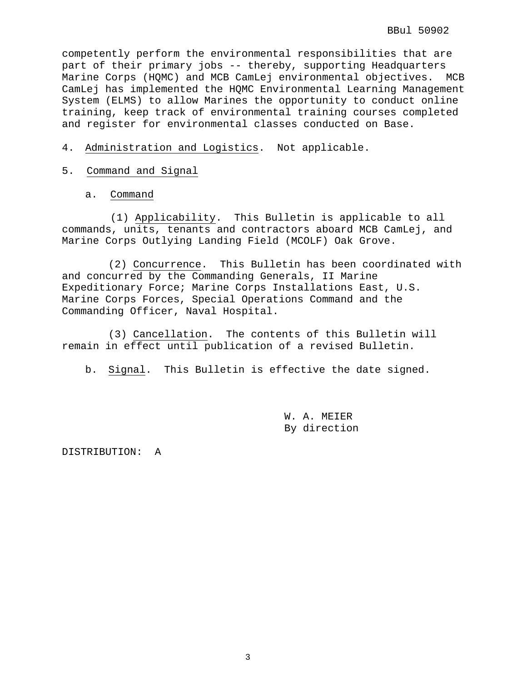competently perform the environmental responsibilities that are part of their primary jobs -- thereby, supporting Headquarters Marine Corps (HQMC) and MCB CamLej environmental objectives. MCB CamLej has implemented the HQMC Environmental Learning Management System (ELMS) to allow Marines the opportunity to conduct online training, keep track of environmental training courses completed and register for environmental classes conducted on Base.

# 4. Administration and Logistics. Not applicable.

- 5. Command and Signal
	- a. Command

(1) Applicability. This Bulletin is applicable to all commands, units, tenants and contractors aboard MCB CamLej, and Marine Corps Outlying Landing Field (MCOLF) Oak Grove.

(2) Concurrence. This Bulletin has been coordinated with and concurred by the Commanding Generals, II Marine Expeditionary Force; Marine Corps Installations East, U.S. Marine Corps Forces, Special Operations Command and the Commanding Officer, Naval Hospital.

(3) Cancellation. The contents of this Bulletin will remain in effect until publication of a revised Bulletin.

b. Signal. This Bulletin is effective the date signed.

W. A. MEIER By direction

DISTRIBUTION: A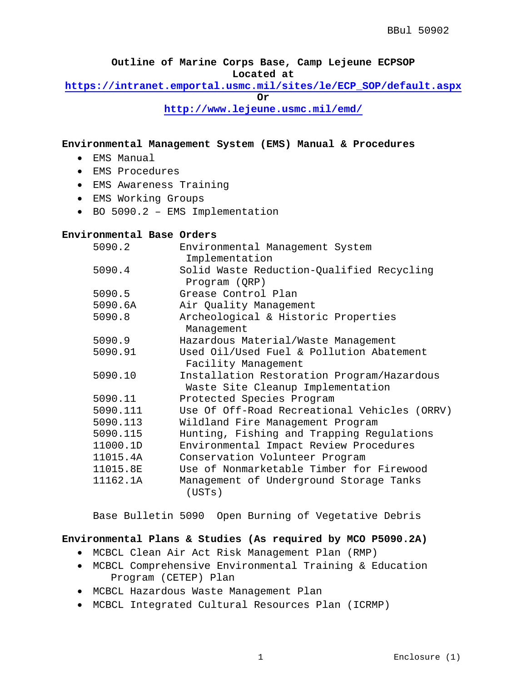**Outline of Marine Corps Base, Camp Lejeune ECPSOP Located at** 

**[https://intranet.emportal.usmc.mil/sites/le/ECP\\_SOP/default.aspx](https://intranet.emportal.usmc.mil/sites/le/ECP_SOP/default.aspx)**

**Or**

**<http://www.lejeune.usmc.mil/emd/>**

**Environmental Management System (EMS) Manual & Procedures**

- EMS Manual
- EMS Procedures
- EMS Awareness Training
- EMS Working Groups
- BO 5090.2 EMS Implementation

#### **Environmental Base Orders**

| 5090.2   | Environmental Management System                            |
|----------|------------------------------------------------------------|
|          | Implementation                                             |
| 5090.4   | Solid Waste Reduction-Qualified Recycling<br>Program (QRP) |
| 5090.5   | Grease Control Plan                                        |
| 5090.6A  | Air Quality Management                                     |
| 5090.8   | Archeological & Historic Properties                        |
|          | Management                                                 |
| 5090.9   | Hazardous Material/Waste Management                        |
| 5090.91  | Used Oil/Used Fuel & Pollution Abatement                   |
|          | Facility Management                                        |
| 5090.10  | Installation Restoration Program/Hazardous                 |
|          | Waste Site Cleanup Implementation                          |
| 5090.11  | Protected Species Program                                  |
| 5090.111 | Use Of Off-Road Recreational Vehicles (ORRV)               |
| 5090.113 | Wildland Fire Management Program                           |
| 5090.115 | Hunting, Fishing and Trapping Regulations                  |
| 11000.1D | Environmental Impact Review Procedures                     |
| 11015.4A | Conservation Volunteer Program                             |
| 11015.8E | Use of Nonmarketable Timber for Firewood                   |
| 11162.1A | Management of Underground Storage Tanks<br>(USTs)          |

Base Bulletin 5090 Open Burning of Vegetative Debris

### **Environmental Plans & Studies (As required by MCO P5090.2A)**

- MCBCL Clean Air Act Risk Management Plan (RMP)
- MCBCL Comprehensive Environmental Training & Education Program (CETEP) Plan
- MCBCL Hazardous Waste Management Plan
- MCBCL Integrated Cultural Resources Plan (ICRMP)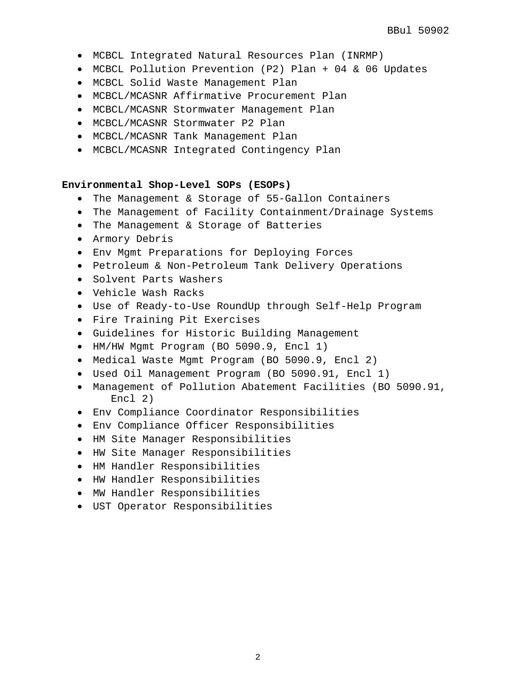- MCBCL Integrated Natural Resources Plan (INRMP)
- MCBCL Pollution Prevention (P2) Plan + 04 & 06 Updates
- MCBCL Solid Waste Management Plan
- MCBCL/MCASNR Affirmative Procurement Plan
- MCBCL/MCASNR Stormwater Management Plan
- MCBCL/MCASNR Stormwater P2 Plan
- MCBCL/MCASNR Tank Management Plan
- MCBCL/MCASNR Integrated Contingency Plan

### **Environmental Shop-Level SOPs (ESOPs)**

- The Management & Storage of 55-Gallon Containers
- The Management of Facility Containment/Drainage Systems
- The Management & Storage of Batteries
- Armory Debris
- Env Mgmt Preparations for Deploying Forces
- Petroleum & Non-Petroleum Tank Delivery Operations
- Solvent Parts Washers
- Vehicle Wash Racks
- Use of Ready-to-Use RoundUp through Self-Help Program
- Fire Training Pit Exercises
- Guidelines for Historic Building Management
- HM/HW Mgmt Program (BO 5090.9, Encl 1)
- Medical Waste Mgmt Program (BO 5090.9, Encl 2)
- Used Oil Management Program (BO 5090.91, Encl 1)
- Management of Pollution Abatement Facilities (BO 5090.91, Encl 2)
- Env Compliance Coordinator Responsibilities
- Env Compliance Officer Responsibilities
- HM Site Manager Responsibilities
- HW Site Manager Responsibilities
- HM Handler Responsibilities
- HW Handler Responsibilities
- MW Handler Responsibilities
- UST Operator Responsibilities